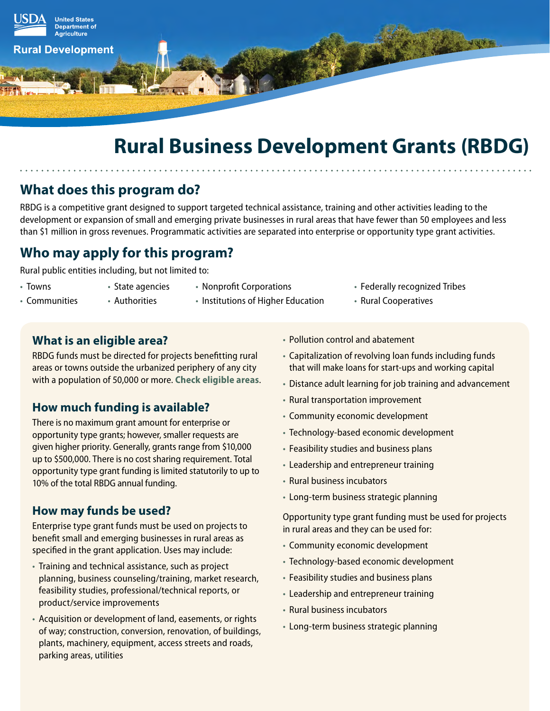

# **Rural Business Development Grants (RBDG)**

# **What does this program do?**

RBDG is a competitive grant designed to support targeted technical assistance, training and other activities leading to the development or expansion of small and emerging private businesses in rural areas that have fewer than 50 employees and less than \$1 million in gross revenues. Programmatic activities are separated into enterprise or opportunity type grant activities.

# **Who may apply for this program?**

Rural public entities including, but not limited to:

- Towns
- State agencies
- Nonprofit Corporations
- Communities
- Authorities
- Institutions of Higher Education
- Federally recognized Tribes
- Rural Cooperatives

## **What is an eligible area?**

RBDG funds must be directed for projects benefitting rural areas or towns outside the urbanized periphery of any city with a population of 50,000 or more. **[Check eligible areas](http://eligibility.sc.egov.usda.gov/eligibility/welcomeAction.do)**.

# **How much funding is available?**

There is no maximum grant amount for enterprise or opportunity type grants; however, smaller requests are given higher priority. Generally, grants range from \$10,000 up to \$500,000. There is no cost sharing requirement. Total opportunity type grant funding is limited statutorily to up to 10% of the total RBDG annual funding.

# **How may funds be used?**

Enterprise type grant funds must be used on projects to benefit small and emerging businesses in rural areas as specified in the grant application. Uses may include:

- Training and technical assistance, such as project planning, business counseling/training, market research, feasibility studies, professional/technical reports, or product/service improvements
- Acquisition or development of land, easements, or rights of way; construction, conversion, renovation, of buildings, plants, machinery, equipment, access streets and roads, parking areas, utilities
- Pollution control and abatement
- Capitalization of revolving loan funds including funds that will make loans for start-ups and working capital
- Distance adult learning for job training and advancement
- Rural transportation improvement
- Community economic development
- Technology-based economic development
- Feasibility studies and business plans
- Leadership and entrepreneur training
- Rural business incubators
- Long-term business strategic planning

Opportunity type grant funding must be used for projects in rural areas and they can be used for:

- Community economic development
- Technology-based economic development
- Feasibility studies and business plans
- Leadership and entrepreneur training
- Rural business incubators
- Long-term business strategic planning